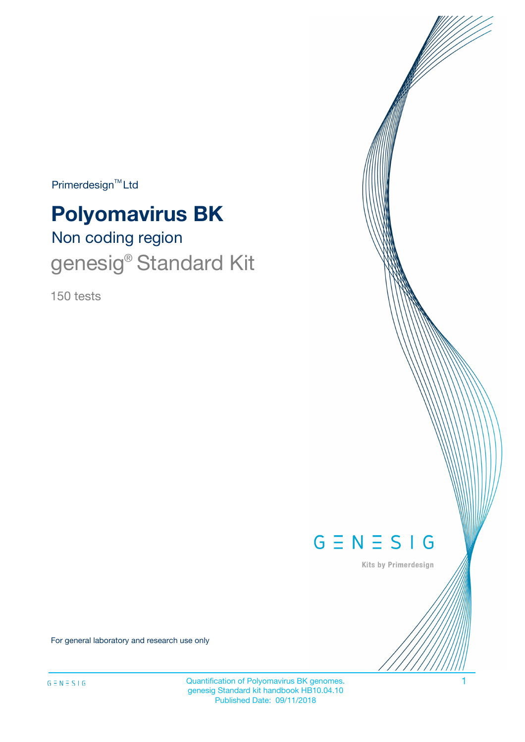$Primerdesign^{\text{TM}}Ltd$ 

# **Polyomavirus BK**

# Non coding region genesig<sup>®</sup> Standard Kit

150 tests



Kits by Primerdesign

For general laboratory and research use only

Quantification of Polyomavirus BK genomes. 1 genesig Standard kit handbook HB10.04.10 Published Date: 09/11/2018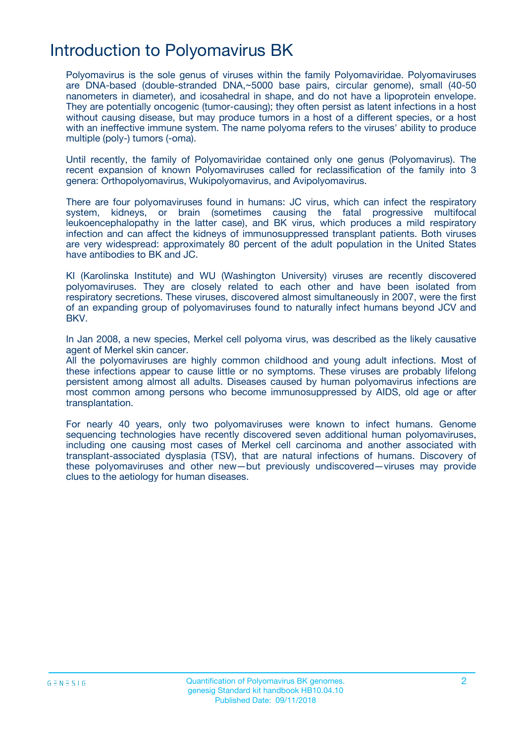# Introduction to Polyomavirus BK

Polyomavirus is the sole genus of viruses within the family Polyomaviridae. Polyomaviruses are DNA-based (double-stranded DNA,~5000 base pairs, circular genome), small (40-50 nanometers in diameter), and icosahedral in shape, and do not have a lipoprotein envelope. They are potentially oncogenic (tumor-causing); they often persist as latent infections in a host without causing disease, but may produce tumors in a host of a different species, or a host with an ineffective immune system. The name polyoma refers to the viruses' ability to produce multiple (poly-) tumors (-oma).

Until recently, the family of Polyomaviridae contained only one genus (Polyomavirus). The recent expansion of known Polyomaviruses called for reclassification of the family into 3 genera: Orthopolyomavirus, Wukipolyomavirus, and Avipolyomavirus.

There are four polyomaviruses found in humans: JC virus, which can infect the respiratory system, kidneys, or brain (sometimes causing the fatal progressive multifocal leukoencephalopathy in the latter case), and BK virus, which produces a mild respiratory infection and can affect the kidneys of immunosuppressed transplant patients. Both viruses are very widespread: approximately 80 percent of the adult population in the United States have antibodies to BK and JC.

KI (Karolinska Institute) and WU (Washington University) viruses are recently discovered polyomaviruses. They are closely related to each other and have been isolated from respiratory secretions. These viruses, discovered almost simultaneously in 2007, were the first of an expanding group of polyomaviruses found to naturally infect humans beyond JCV and BKV.

In Jan 2008, a new species, Merkel cell polyoma virus, was described as the likely causative agent of Merkel skin cancer.

All the polyomaviruses are highly common childhood and young adult infections. Most of these infections appear to cause little or no symptoms. These viruses are probably lifelong persistent among almost all adults. Diseases caused by human polyomavirus infections are most common among persons who become immunosuppressed by AIDS, old age or after transplantation.

For nearly 40 years, only two polyomaviruses were known to infect humans. Genome sequencing technologies have recently discovered seven additional human polyomaviruses, including one causing most cases of Merkel cell carcinoma and another associated with transplant-associated dysplasia (TSV), that are natural infections of humans. Discovery of these polyomaviruses and other new—but previously undiscovered—viruses may provide clues to the aetiology for human diseases.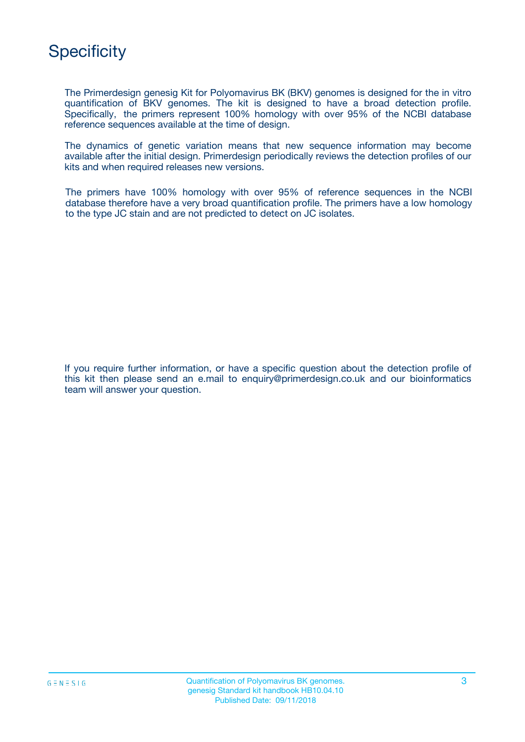# **Specificity**

The Primerdesign genesig Kit for Polyomavirus BK (BKV) genomes is designed for the in vitro quantification of BKV genomes. The kit is designed to have a broad detection profile. Specifically, the primers represent 100% homology with over 95% of the NCBI database reference sequences available at the time of design.

The dynamics of genetic variation means that new sequence information may become available after the initial design. Primerdesign periodically reviews the detection profiles of our kits and when required releases new versions.

The primers have 100% homology with over 95% of reference sequences in the NCBI database therefore have a very broad quantification profile. The primers have a low homology to the type JC stain and are not predicted to detect on JC isolates.

If you require further information, or have a specific question about the detection profile of this kit then please send an e.mail to enquiry@primerdesign.co.uk and our bioinformatics team will answer your question.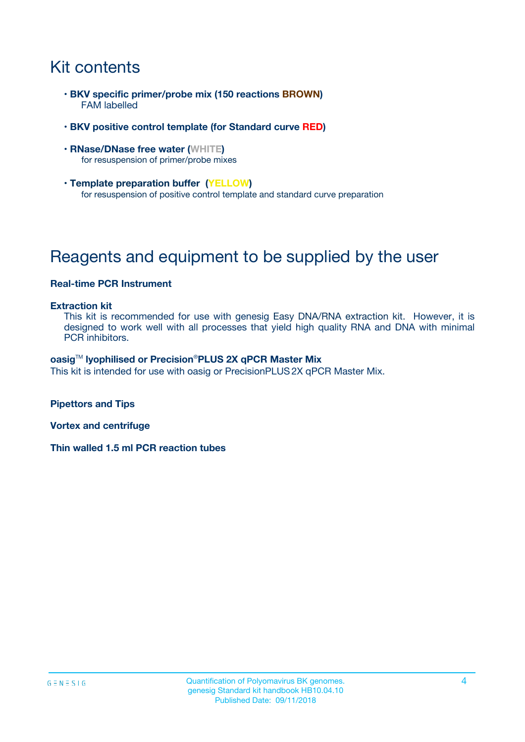# Kit contents

- **BKV specific primer/probe mix (150 reactions BROWN)** FAM labelled
- **BKV positive control template (for Standard curve RED)**
- **RNase/DNase free water (WHITE)** for resuspension of primer/probe mixes
- **Template preparation buffer (YELLOW)** for resuspension of positive control template and standard curve preparation

# Reagents and equipment to be supplied by the user

### **Real-time PCR Instrument**

#### **Extraction kit**

This kit is recommended for use with genesig Easy DNA/RNA extraction kit. However, it is designed to work well with all processes that yield high quality RNA and DNA with minimal PCR inhibitors.

#### **oasig**TM **lyophilised or Precision**®**PLUS 2X qPCR Master Mix**

This kit is intended for use with oasig or PrecisionPLUS2X qPCR Master Mix.

**Pipettors and Tips**

**Vortex and centrifuge**

**Thin walled 1.5 ml PCR reaction tubes**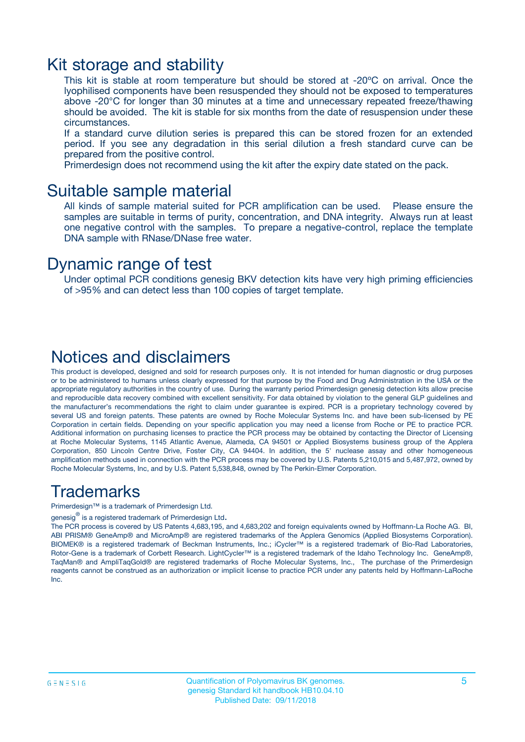### Kit storage and stability

This kit is stable at room temperature but should be stored at -20ºC on arrival. Once the lyophilised components have been resuspended they should not be exposed to temperatures above -20°C for longer than 30 minutes at a time and unnecessary repeated freeze/thawing should be avoided. The kit is stable for six months from the date of resuspension under these circumstances.

If a standard curve dilution series is prepared this can be stored frozen for an extended period. If you see any degradation in this serial dilution a fresh standard curve can be prepared from the positive control.

Primerdesign does not recommend using the kit after the expiry date stated on the pack.

### Suitable sample material

All kinds of sample material suited for PCR amplification can be used. Please ensure the samples are suitable in terms of purity, concentration, and DNA integrity. Always run at least one negative control with the samples. To prepare a negative-control, replace the template DNA sample with RNase/DNase free water.

### Dynamic range of test

Under optimal PCR conditions genesig BKV detection kits have very high priming efficiencies of >95% and can detect less than 100 copies of target template.

### Notices and disclaimers

This product is developed, designed and sold for research purposes only. It is not intended for human diagnostic or drug purposes or to be administered to humans unless clearly expressed for that purpose by the Food and Drug Administration in the USA or the appropriate regulatory authorities in the country of use. During the warranty period Primerdesign genesig detection kits allow precise and reproducible data recovery combined with excellent sensitivity. For data obtained by violation to the general GLP guidelines and the manufacturer's recommendations the right to claim under guarantee is expired. PCR is a proprietary technology covered by several US and foreign patents. These patents are owned by Roche Molecular Systems Inc. and have been sub-licensed by PE Corporation in certain fields. Depending on your specific application you may need a license from Roche or PE to practice PCR. Additional information on purchasing licenses to practice the PCR process may be obtained by contacting the Director of Licensing at Roche Molecular Systems, 1145 Atlantic Avenue, Alameda, CA 94501 or Applied Biosystems business group of the Applera Corporation, 850 Lincoln Centre Drive, Foster City, CA 94404. In addition, the 5' nuclease assay and other homogeneous amplification methods used in connection with the PCR process may be covered by U.S. Patents 5,210,015 and 5,487,972, owned by Roche Molecular Systems, Inc, and by U.S. Patent 5,538,848, owned by The Perkin-Elmer Corporation.

### Trademarks

Primerdesign™ is a trademark of Primerdesign Ltd.

genesig $^\circledR$  is a registered trademark of Primerdesign Ltd.

The PCR process is covered by US Patents 4,683,195, and 4,683,202 and foreign equivalents owned by Hoffmann-La Roche AG. BI, ABI PRISM® GeneAmp® and MicroAmp® are registered trademarks of the Applera Genomics (Applied Biosystems Corporation). BIOMEK® is a registered trademark of Beckman Instruments, Inc.; iCycler™ is a registered trademark of Bio-Rad Laboratories, Rotor-Gene is a trademark of Corbett Research. LightCycler™ is a registered trademark of the Idaho Technology Inc. GeneAmp®, TaqMan® and AmpliTaqGold® are registered trademarks of Roche Molecular Systems, Inc., The purchase of the Primerdesign reagents cannot be construed as an authorization or implicit license to practice PCR under any patents held by Hoffmann-LaRoche Inc.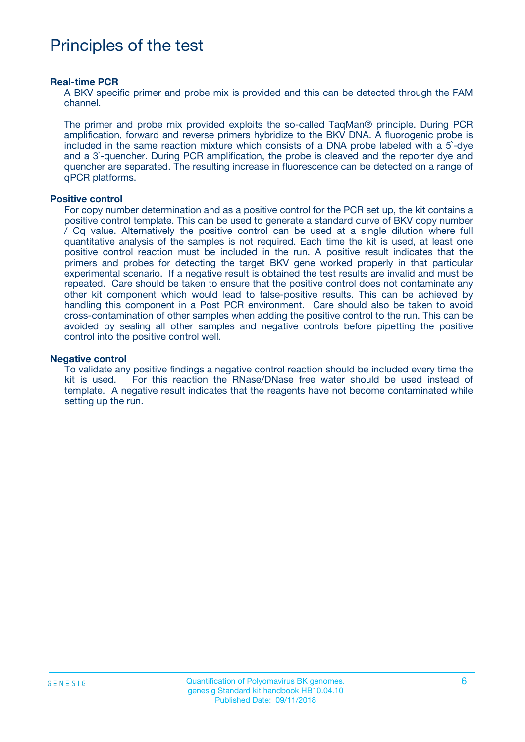# Principles of the test

#### **Real-time PCR**

A BKV specific primer and probe mix is provided and this can be detected through the FAM channel.

The primer and probe mix provided exploits the so-called TaqMan® principle. During PCR amplification, forward and reverse primers hybridize to the BKV DNA. A fluorogenic probe is included in the same reaction mixture which consists of a DNA probe labeled with a 5`-dye and a 3`-quencher. During PCR amplification, the probe is cleaved and the reporter dye and quencher are separated. The resulting increase in fluorescence can be detected on a range of qPCR platforms.

#### **Positive control**

For copy number determination and as a positive control for the PCR set up, the kit contains a positive control template. This can be used to generate a standard curve of BKV copy number / Cq value. Alternatively the positive control can be used at a single dilution where full quantitative analysis of the samples is not required. Each time the kit is used, at least one positive control reaction must be included in the run. A positive result indicates that the primers and probes for detecting the target BKV gene worked properly in that particular experimental scenario. If a negative result is obtained the test results are invalid and must be repeated. Care should be taken to ensure that the positive control does not contaminate any other kit component which would lead to false-positive results. This can be achieved by handling this component in a Post PCR environment. Care should also be taken to avoid cross-contamination of other samples when adding the positive control to the run. This can be avoided by sealing all other samples and negative controls before pipetting the positive control into the positive control well.

#### **Negative control**

To validate any positive findings a negative control reaction should be included every time the kit is used. For this reaction the RNase/DNase free water should be used instead of template. A negative result indicates that the reagents have not become contaminated while setting up the run.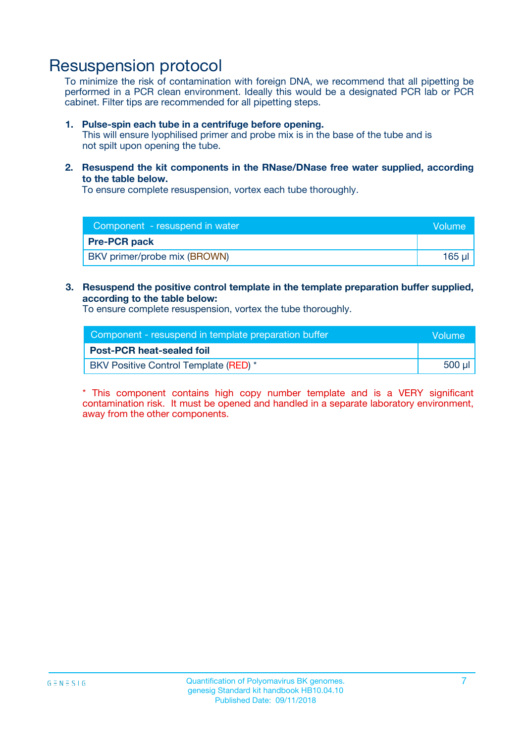## Resuspension protocol

To minimize the risk of contamination with foreign DNA, we recommend that all pipetting be performed in a PCR clean environment. Ideally this would be a designated PCR lab or PCR cabinet. Filter tips are recommended for all pipetting steps.

#### **1. Pulse-spin each tube in a centrifuge before opening.**

This will ensure lyophilised primer and probe mix is in the base of the tube and is not spilt upon opening the tube.

**2. Resuspend the kit components in the RNase/DNase free water supplied, according to the table below.**

To ensure complete resuspension, vortex each tube thoroughly.

| Component - resuspend in water | <b>Volume</b> |
|--------------------------------|---------------|
| <b>Pre-PCR pack</b>            |               |
| BKV primer/probe mix (BROWN)   | 165 ul        |

### **3. Resuspend the positive control template in the template preparation buffer supplied, according to the table below:**

To ensure complete resuspension, vortex the tube thoroughly.

| Component - resuspend in template preparation buffer |        |  |
|------------------------------------------------------|--------|--|
| <b>Post-PCR heat-sealed foil</b>                     |        |  |
| BKV Positive Control Template (RED) *                | 500 µl |  |

\* This component contains high copy number template and is a VERY significant contamination risk. It must be opened and handled in a separate laboratory environment, away from the other components.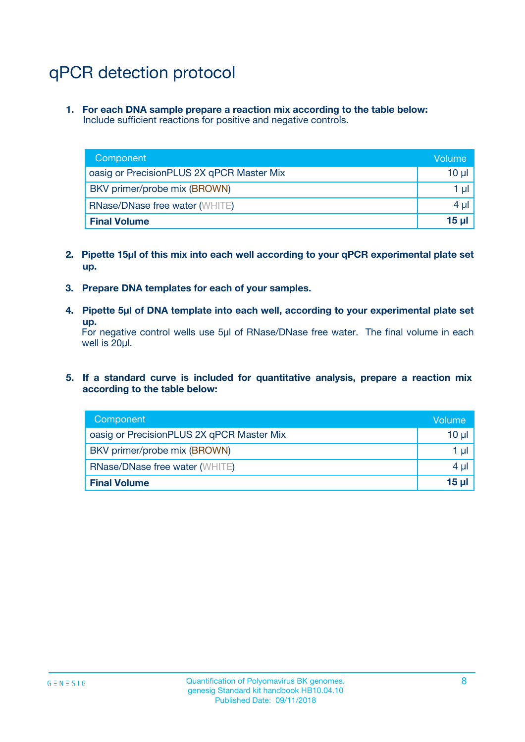# qPCR detection protocol

**1. For each DNA sample prepare a reaction mix according to the table below:** Include sufficient reactions for positive and negative controls.

| Component                                 | Volume          |
|-------------------------------------------|-----------------|
| oasig or PrecisionPLUS 2X qPCR Master Mix | 10 $\mu$        |
| BKV primer/probe mix (BROWN)              | 1 $\mu$         |
| <b>RNase/DNase free water (WHITE)</b>     | $4 \mu$         |
| <b>Final Volume</b>                       | 15 <sub>µ</sub> |

- **2. Pipette 15µl of this mix into each well according to your qPCR experimental plate set up.**
- **3. Prepare DNA templates for each of your samples.**
- **4. Pipette 5µl of DNA template into each well, according to your experimental plate set up.**

For negative control wells use 5µl of RNase/DNase free water. The final volume in each well is 20µl.

**5. If a standard curve is included for quantitative analysis, prepare a reaction mix according to the table below:**

| Component                                 | Volume     |
|-------------------------------------------|------------|
| oasig or PrecisionPLUS 2X qPCR Master Mix | 10 µl      |
| BKV primer/probe mix (BROWN)              | 1 µI       |
| <b>RNase/DNase free water (WHITE)</b>     | $4 \mu$    |
| <b>Final Volume</b>                       | $15$ $\mu$ |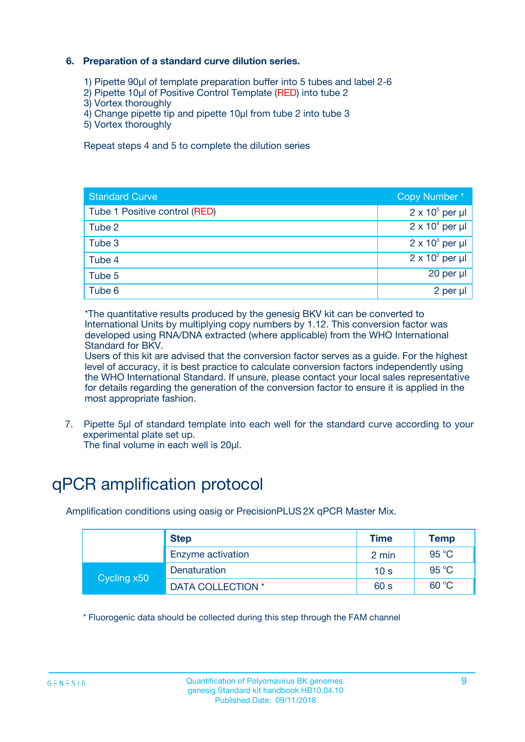### **6. Preparation of a standard curve dilution series.**

- 1) Pipette 90µl of template preparation buffer into 5 tubes and label 2-6
- 2) Pipette 10µl of Positive Control Template (RED) into tube 2
- 3) Vortex thoroughly
- 4) Change pipette tip and pipette 10µl from tube 2 into tube 3
- 5) Vortex thoroughly

Repeat steps 4 and 5 to complete the dilution series

| <b>Standard Curve</b>         | Copy Number*           |
|-------------------------------|------------------------|
| Tube 1 Positive control (RED) | $2 \times 10^5$ per µl |
| Tube 2                        | $2 \times 10^4$ per µl |
| Tube 3                        | $2 \times 10^3$ per µl |
| Tube 4                        | $2 \times 10^2$ per µl |
| Tube 5                        | 20 per $\mu$           |
| Tube 6                        | 2 per µl               |

\*The quantitative results produced by the genesig BKV kit can be converted to International Units by multiplying copy numbers by 1.12. This conversion factor was developed using RNA/DNA extracted (where applicable) from the WHO International Standard for BKV.

Users of this kit are advised that the conversion factor serves as a guide. For the highest level of accuracy, it is best practice to calculate conversion factors independently using the WHO International Standard. If unsure, please contact your local sales representative for details regarding the generation of the conversion factor to ensure it is applied in the most appropriate fashion.

7. Pipette 5µl of standard template into each well for the standard curve according to your experimental plate set up.

The final volume in each well is 20µl.

# qPCR amplification protocol

Amplification conditions using oasig or PrecisionPLUS2X qPCR Master Mix.

| <b>Step</b> |                   | <b>Time</b>     | <b>Temp</b> |
|-------------|-------------------|-----------------|-------------|
|             | Enzyme activation | 2 min           | 95 °C       |
| Cycling x50 | Denaturation      | 10 <sub>s</sub> | 95 $°C$     |
|             | DATA COLLECTION * | 60 s            | 60 °C       |

\* Fluorogenic data should be collected during this step through the FAM channel